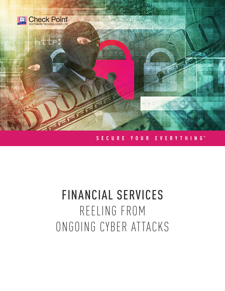

### SECURE YOUR EVERYTHING<sup>™</sup>

# FINANCIAL SERVICES REELING FROM ONGOING CYBER ATTACKS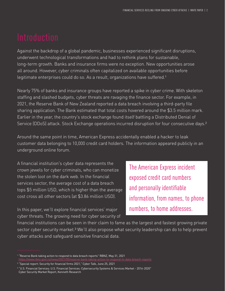Against the backdrop of a global pandemic, businesses experienced significant disruptions, underwent technological transformations and had to rethink plans for sustainable, long-term growth. Banks and insurance firms were no exception. New opportunities arose all around. However, cyber criminals often capitalized on available opportunities before legitimate enterprises could do so. As a result, organizations have suffered.<sup>1</sup>

Nearly 75% of banks and insurance groups have reported a spike in cyber crime. With skeleton staffing and slashed budgets, cyber threats are ravaging the finance sector. For example, in 2021, the Reserve Bank of New Zealand reported a data breach involving a third-party file sharing application. The Bank estimated that total costs hovered around the \$3.5 million mark. Earlier in the year, the country's stock exchange found itself battling a Distributed Denial of Service (DDoS) attack. Stock Exchange operations incurred disruption for four consecutive days.2

Around the same point in time, American Express accidentally enabled a hacker to leak customer data belonging to 10,000 credit card holders. The information appeared publicly in an underground online forum.

A financial institution's cyber data represents the crown jewels for cyber criminals, who can monetize the stolen loot on the dark web. In the financial services sector, the average cost of a data breach tops \$5 million USD, which is higher than the average cost cross all other sectors (at \$3.86 million USD).

The American Express incident exposed credit card numbers and personally identifiable information, from names, to phone numbers, to home addresses.

In this paper, we'll explore financial services' major cyber threats. The growing need for cyber security of

financial institutions can be seen in their claim to fame as the largest and fastest growing private sector cyber security market.<sup>3</sup> We'll also propose what security leadership can do to help prevent cyber attacks and safeguard sensitive financial data.

<sup>1</sup> "Reserve Bank taking action to respond to data breach reports" RBNZ, May 31, 2021 <https://www.rbnz.govt.nz/news/2021/05/reserve-bank-taking-action-to-respond-to-data-breach-reports>

<sup>2</sup> "Special report: Security for financial firms 2021," Cyber Talk, June 25, 2021

<sup>3</sup> "U.S. Financial Services: U.S. Financial Services: Cybersecurity Systems & Services Market - 2016-2020" Cyber Security Market Report, Kenneth Research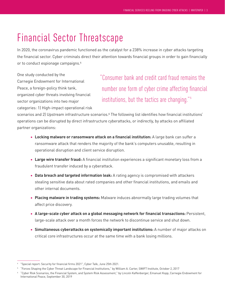### Financial Sector Threatscape

In 2020, the coronavirus pandemic functioned as the catalyst for a 238% increase in cyber attacks targeting the financial sector. Cyber criminals direct their attention towards financial groups in order to gain financially or to conduct espionage campaigns.4

One study conducted by the Carnegie Endowment for International Peace, a foreign-policy think tank, organized cyber threats involving financial sector organizations into two major categories: 1) High-impact operational risk

"Consumer bank and credit card fraud remains the number one form of cyber crime affecting financial institutions, but the tactics are changing."<sup>5</sup>

scenarios and 2) Upstream infrastructure scenarios.<sup>6</sup> The following list identifies how financial institutions' operations can be disrupted by direct infrastructure cyberattacks, or indirectly, by attacks on affiliated partner organizations:

- **Locking malware or ransomware attack on a financial institution:** A large bank can suffer a ransomware attack that renders the majority of the bank's computers unusable, resulting in operational disruption and client service disruption.
- **Large wire transfer fraud:** A financial institution experiences a significant monetary loss from a fraudulent transfer induced by a cyberattack.
- **Data breach and targeted information leak:** A rating agency is compromised with attackers stealing sensitive data about rated companies and other financial institutions, and emails and other internal documents.
- **Placing malware in trading systems:** Malware induces abnormally large trading volumes that affect price discovery.
- **A large-scale cyber attack on a global messaging network for financial transactions:** Persistent, large-scale attack over a month forces the network to discontinue service and shut down.
- **Simultaneous cyberattacks on systemically important institutions:** A number of major attacks on critical core infrastructures occur at the same time with a bank losing millions.

<sup>&</sup>quot;Special report: Security for financial firms 2021", Cyber Talk, June 25th 2021.

<sup>5</sup> "Forces Shaping the Cyber Threat Landscape for Financial Institutions," by William A. Carter, SWIFT Institute, October 2, 2017

<sup>6</sup> "Cyber Risk Scenarios, the Financial System, and System Risk Assessment," by Lincoln Kaffenberger, Emanuel Kopp, Carnegie Endowment for International Peace, September 30, 2019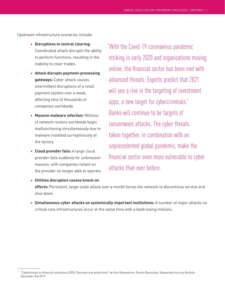Upstream infrastructure scenarios include:

- **Disruptions to central clearing:**  Coordinated attack disrupts the ability to perform functions, resulting in the inability to clear trades.
- **Attack disrupts payment-processing gateways:** Cyber attack causes intermittent disruptions of a retail payment system over a week, affecting tens of thousands of companies worldwide.
- **Massive malware infection:** Millions of network routers worldwide begin malfunctioning simultaneously due to malware installed surreptitiously at the factory.
- **Cloud provider fails:** A large cloud provider fails suddenly for unforeseen reasons, with companies reliant on the provider no longer able to operate.
- **Utilities disruption causes knock-on**

"With the Covid-19 coronavirus pandemic striking in early 2020 and organizations moving online, the financial sector has been met with advanced threats. Experts predict that 2021 will see a rise in the targeting of investment apps, a new target for cybercriminals.<sup>7</sup> Banks will continue to be targets of ransomware attacks. The cyber threats taken together, in combination with an unprecedented global pandemic, make the financial sector even more vulnerable to cyber attacks than ever before.

**effects:** Persistent, large-scale attack over a month forces the network to discontinue service and shut down.

• **Simultaneous cyber attacks on systemically important institutions:** A number of major attacks on critical core infrastructures occur at the same time with a bank losing millions.

<sup>7</sup> "Cyberthreats to financial institutions 2020: Overview and predictions" by Yury Namestinov, Dmitry Bestuzhev, Kaspersky Security Bulletin December 3rd 2019.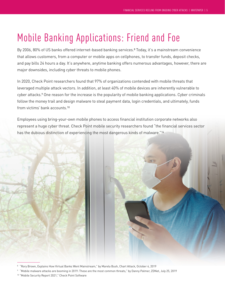## Mobile Banking Applications: Friend and Foe

By 2006, 80% of US banks offered internet-based banking services.<sup>8</sup> Today, it's a mainstream convenience that allows customers, from a computer or mobile apps on cellphones, to transfer funds, deposit checks, and pay bills 24 hours a day. It's anywhere, anytime banking offers numerous advantages, however, there are major downsides, including cyber threats to mobile phones.

In 2020, Check Point researchers found that 97% of organizations contended with mobile threats that leveraged multiple attack vectors. In addition, at least 40% of mobile devices are inherently vulnerable to cyber attacks.<sup>9</sup> One reason for the increase is the popularity of mobile banking applications. Cyber criminals follow the money trail and design malware to steal payment data, login credentials, and ultimately, funds from victims' bank accounts.10

Employees using bring-your-own mobile phones to access financial institution corporate networks also represent a huge cyber threat. Check Point mobile security researchers found "the financial services sector has the dubious distinction of experiencing the most dangerous kinds of malware."14



<sup>8</sup> "Rory Brown, Explains How Virtual Banks Went Mainstream," by Marela Bush, Chart Attack, October 4, 2019

<sup>9</sup> "Mobile malware attacks are booming in 2019: These are the most common threats," by Danny Palmer, ZDNet, July 25, 2019

<sup>10</sup> "Mobile Security Report 2021," Check Point Software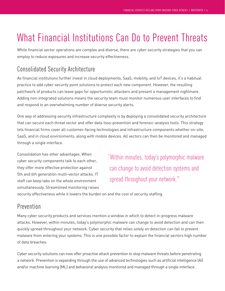## What Financial Institutions Can Do to Prevent Threats

While financial sector operations are complex and diverse, there are cyber security strategies that you can employ to reduce exposures and increase security effectiveness.

### Consolidated Security Architecture

As financial institutions further invest in cloud deployments, SaaS, mobility, and IoT devices, it's a habitual practice to add cyber security point solutions to protect each new component. However, the resulting patchwork of products can leave gaps for opportunistic attackers and present a management nightmare. Adding non-integrated solutions means the security team must monitor numerous user interfaces to find and respond to an overwhelming number of diverse security alerts.

One way of addressing security infrastructure complexity is by deploying a consolidated security architecture that can secure each threat vector and offer data-loss-prevention and forensic-analysis tools. This strategy lets financial firms cover all customer-facing technologies and infrastructure components whether on-site, SaaS, and in cloud environments, along with mobile devices. All vectors can then be monitored and managed through a single interface.

Consolidation has other advantages. When cyber security components talk to each other, they offer more effective protection against 5th and 6th generation multi-vector attacks. IT staff can keep tabs on the whole environment simultaneously. Streamlined monitoring raises

"Within minutes, today's polymorphic malware can change to avoid detection systems and spread throughout your network."

security effectiveness while it lowers the burden on and the cost of security staffing.

### Prevention

Many cyber security products and services mention a window in which to detect in-progress malware attacks. However, within minutes, today's polymorphic malware can change to avoid detection and can then quickly spread throughout your network. Cyber security that relies solely on detection can fail to prevent malware from entering your systems. This is one possible factor to explain the financial sectors high number of data breaches.

Cyber security solutions can now offer proactive attack prevention to stop malware threats before penetrating a network. Prevention is expanding through the use of advanced technologies such as artificial intelligence (AI) and/or machine learning (ML) and behavioral analysis monitored and managed through a single interface.